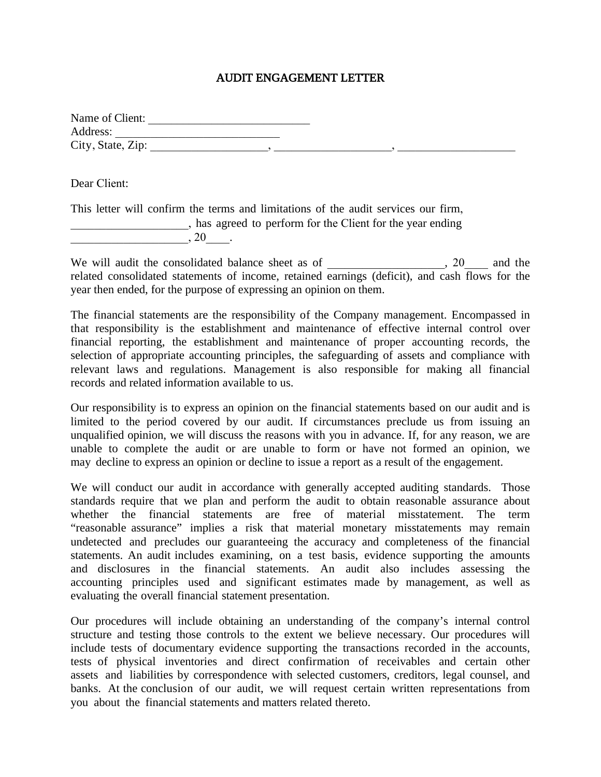## AUDIT ENGAGEMENT LETTER

| Name of Client:   |  |  |
|-------------------|--|--|
| Address:          |  |  |
| City, State, Zip: |  |  |

Dear Client:

This letter will confirm the terms and limitations of the audit services our firm, \_\_\_\_\_\_\_\_\_\_\_\_\_\_\_\_\_\_\_\_, has agreed to perform for the Client for the year ending  $, 20$  .

We will audit the consolidated balance sheet as of \_\_\_\_\_\_\_\_\_\_\_\_\_\_, 20\_\_\_\_ and the related consolidated statements of income, retained earnings (deficit), and cash flows for the year then ended, for the purpose of expressing an opinion on them.

The financial statements are the responsibility of the Company management. Encompassed in that responsibility is the establishment and maintenance of effective internal control over financial reporting, the establishment and maintenance of proper accounting records, the selection of appropriate accounting principles, the safeguarding of assets and compliance with relevant laws and regulations. Management is also responsible for making all financial records and related information available to us.

Our responsibility is to express an opinion on the financial statements based on our audit and is limited to the period covered by our audit. If circumstances preclude us from issuing an unqualified opinion, we will discuss the reasons with you in advance. If, for any reason, we are unable to complete the audit or are unable to form or have not formed an opinion, we may decline to express an opinion or decline to issue a report as a result of the engagement.

We will conduct our audit in accordance with generally accepted auditing standards. Those standards require that we plan and perform the audit to obtain reasonable assurance about whether the financial statements are free of material misstatement. The term "reasonable assurance" implies a risk that material monetary misstatements may remain undetected and precludes our guaranteeing the accuracy and completeness of the financial statements. An audit includes examining, on a test basis, evidence supporting the amounts and disclosures in the financial statements. An audit also includes assessing the accounting principles used and significant estimates made by management, as well as evaluating the overall financial statement presentation.

Our procedures will include obtaining an understanding of the company's internal control structure and testing those controls to the extent we believe necessary. Our procedures will include tests of documentary evidence supporting the transactions recorded in the accounts, tests of physical inventories and direct confirmation of receivables and certain other assets and liabilities by correspondence with selected customers, creditors, legal counsel, and banks. At the conclusion of our audit, we will request certain written representations from you about the financial statements and matters related thereto.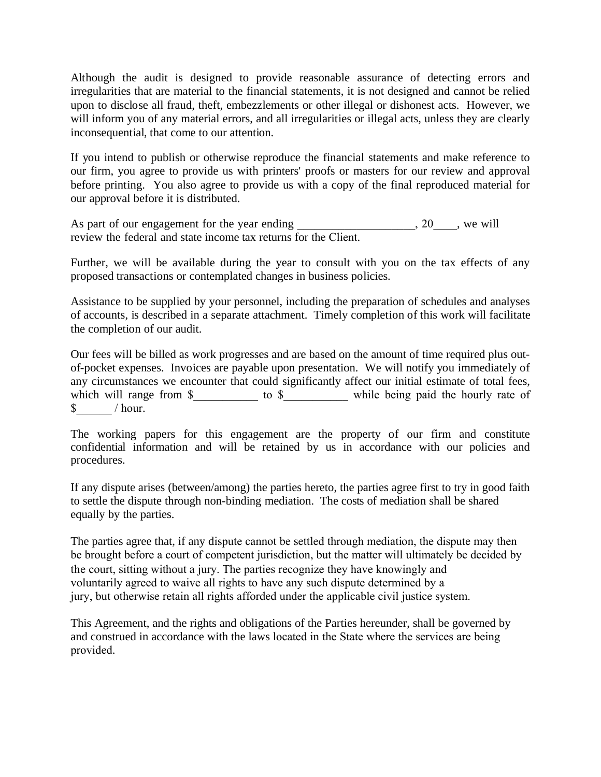Although the audit is designed to provide reasonable assurance of detecting errors and irregularities that are material to the financial statements, it is not designed and cannot be relied upon to disclose all fraud, theft, embezzlements or other illegal or dishonest acts. However, we will inform you of any material errors, and all irregularities or illegal acts, unless they are clearly inconsequential, that come to our attention.

If you intend to publish or otherwise reproduce the financial statements and make reference to our firm, you agree to provide us with printers' proofs or masters for our review and approval before printing. You also agree to provide us with a copy of the final reproduced material for our approval before it is distributed.

As part of our engagement for the year ending \_\_\_\_\_\_\_\_\_\_\_\_\_\_\_\_\_, 20\_\_\_\_, we will review the federal and state income tax returns for the Client.

Further, we will be available during the year to consult with you on the tax effects of any proposed transactions or contemplated changes in business policies.

Assistance to be supplied by your personnel, including the preparation of schedules and analyses of accounts, is described in a separate attachment. Timely completion of this work will facilitate the completion of our audit.

Our fees will be billed as work progresses and are based on the amount of time required plus outof-pocket expenses. Invoices are payable upon presentation. We will notify you immediately of any circumstances we encounter that could significantly affect our initial estimate of total fees, which will range from \$\_\_\_\_\_\_\_\_\_\_\_\_ to \$\_\_\_\_\_\_\_\_\_\_\_\_ while being paid the hourly rate of  $\text{\$}$  / hour.

The working papers for this engagement are the property of our firm and constitute confidential information and will be retained by us in accordance with our policies and procedures.

If any dispute arises (between/among) the parties hereto, the parties agree first to try in good faith to settle the dispute through non-binding mediation. The costs of mediation shall be shared equally by the parties.

The parties agree that, if any dispute cannot be settled through mediation, the dispute may then be brought before a court of competent jurisdiction, but the matter will ultimately be decided by the court, sitting without a jury. The parties recognize they have knowingly and voluntarily agreed to waive all rights to have any such dispute determined by a jury, but otherwise retain all rights afforded under the applicable civil justice system.

This Agreement, and the rights and obligations of the Parties hereunder, shall be governed by and construed in accordance with the laws located in the State where the services are being provided.